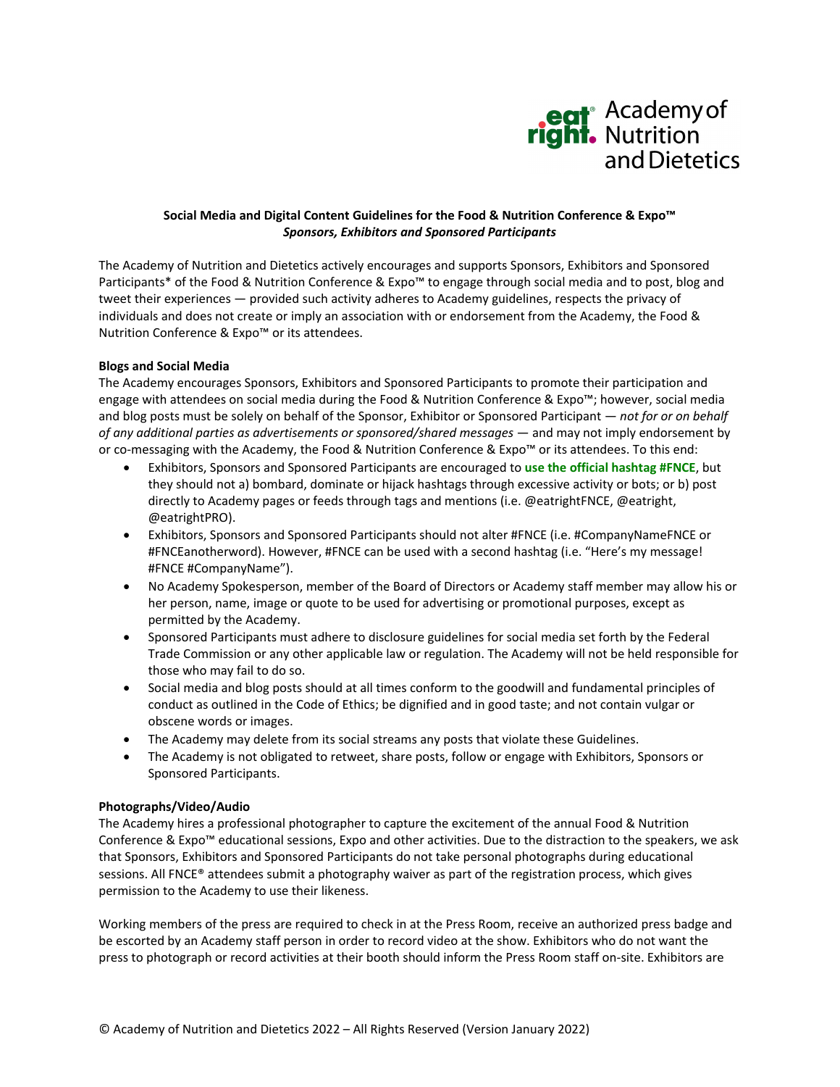

# **Social Media and Digital Content Guidelines for the Food & Nutrition Conference & Expo™** *Sponsors, Exhibitors and Sponsored Participants*

The Academy of Nutrition and Dietetics actively encourages and supports Sponsors, Exhibitors and Sponsored Participants\* of the Food & Nutrition Conference & Expo™ to engage through social media and to post, blog and tweet their experiences — provided such activity adheres to Academy guidelines, respects the privacy of individuals and does not create or imply an association with or endorsement from the Academy, the Food & Nutrition Conference & Expo™ or its attendees.

# **Blogs and Social Media**

The Academy encourages Sponsors, Exhibitors and Sponsored Participants to promote their participation and engage with attendees on social media during the Food & Nutrition Conference & Expo™; however, social media and blog posts must be solely on behalf of the Sponsor, Exhibitor or Sponsored Participant — *not for or on behalf of any additional parties as advertisements or sponsored/shared messages* — and may not imply endorsement by or co-messaging with the Academy, the Food & Nutrition Conference & Expo™ or its attendees. To this end:

- Exhibitors, Sponsors and Sponsored Participants are encouraged to **use the official hashtag #FNCE**, but they should not a) bombard, dominate or hijack hashtags through excessive activity or bots; or b) post directly to Academy pages or feeds through tags and mentions (i.e. @eatrightFNCE, @eatright, @eatrightPRO).
- Exhibitors, Sponsors and Sponsored Participants should not alter #FNCE (i.e. #CompanyNameFNCE or #FNCEanotherword). However, #FNCE can be used with a second hashtag (i.e. "Here's my message! #FNCE #CompanyName").
- No Academy Spokesperson, member of the Board of Directors or Academy staff member may allow his or her person, name, image or quote to be used for advertising or promotional purposes, except as permitted by the Academy.
- Sponsored Participants must adhere to disclosure guidelines for social media set forth by the Federal Trade Commission or any other applicable law or regulation. The Academy will not be held responsible for those who may fail to do so.
- Social media and blog posts should at all times conform to the goodwill and fundamental principles of conduct as outlined in the Code of Ethics; be dignified and in good taste; and not contain vulgar or obscene words or images.
- The Academy may delete from its social streams any posts that violate these Guidelines.
- The Academy is not obligated to retweet, share posts, follow or engage with Exhibitors, Sponsors or Sponsored Participants.

## **Photographs/Video/Audio**

The Academy hires a professional photographer to capture the excitement of the annual Food & Nutrition Conference & Expo™ educational sessions, Expo and other activities. Due to the distraction to the speakers, we ask that Sponsors, Exhibitors and Sponsored Participants do not take personal photographs during educational sessions. All FNCE® attendees submit a photography waiver as part of the registration process, which gives permission to the Academy to use their likeness.

Working members of the press are required to check in at the Press Room, receive an authorized press badge and be escorted by an Academy staff person in order to record video at the show. Exhibitors who do not want the press to photograph or record activities at their booth should inform the Press Room staff on‐site. Exhibitors are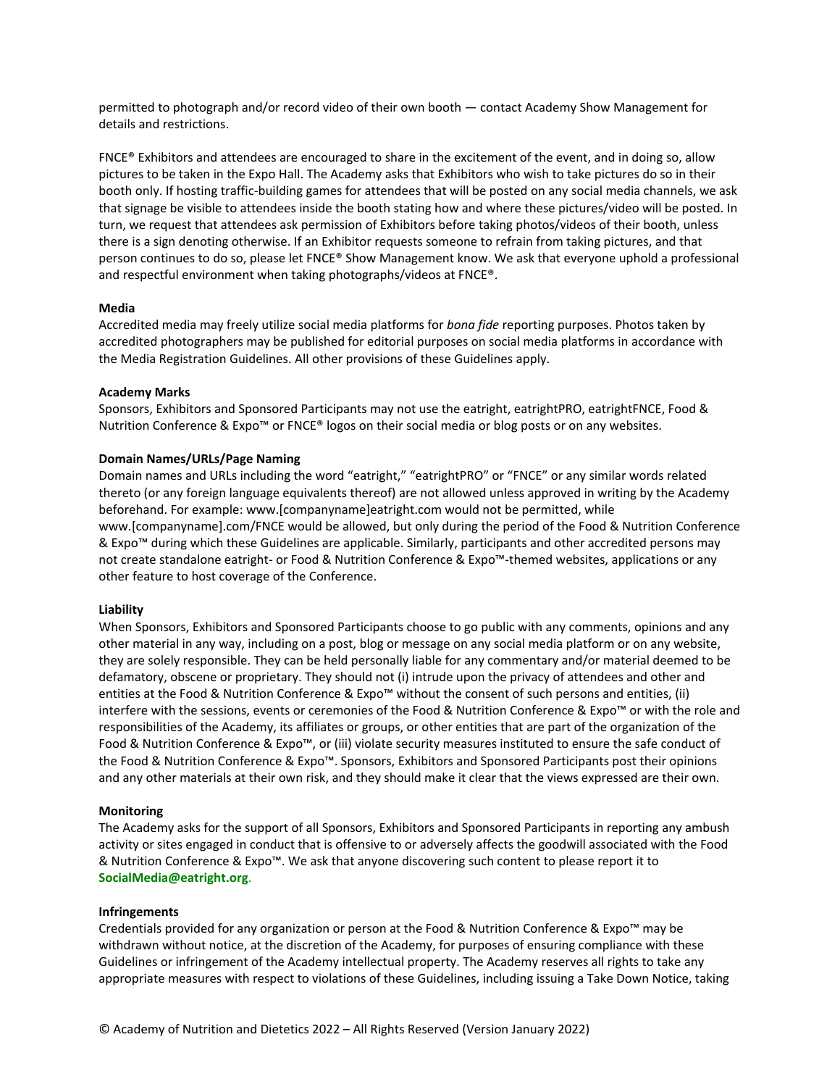permitted to photograph and/or record video of their own booth — contact Academy Show Management for details and restrictions.

FNCE® Exhibitors and attendees are encouraged to share in the excitement of the event, and in doing so, allow pictures to be taken in the Expo Hall. The Academy asks that Exhibitors who wish to take pictures do so in their booth only. If hosting traffic‐building games for attendees that will be posted on any social media channels, we ask that signage be visible to attendees inside the booth stating how and where these pictures/video will be posted. In turn, we request that attendees ask permission of Exhibitors before taking photos/videos of their booth, unless there is a sign denoting otherwise. If an Exhibitor requests someone to refrain from taking pictures, and that person continues to do so, please let FNCE® Show Management know. We ask that everyone uphold a professional and respectful environment when taking photographs/videos at FNCE®.

## **Media**

Accredited media may freely utilize social media platforms for *bona fide* reporting purposes. Photos taken by accredited photographers may be published for editorial purposes on social media platforms in accordance with the Media Registration Guidelines. All other provisions of these Guidelines apply.

## **Academy Marks**

Sponsors, Exhibitors and Sponsored Participants may not use the eatright, eatrightPRO, eatrightFNCE, Food & Nutrition Conference & Expo™ or FNCE® logos on their social media or blog posts or on any websites.

## **Domain Names/URLs/Page Naming**

Domain names and URLs including the word "eatright," "eatrightPRO" or "FNCE" or any similar words related thereto (or any foreign language equivalents thereof) are not allowed unless approved in writing by the Academy beforehand. For example: www.[companyname]eatright.com would not be permitted, while www.[companyname].com/FNCE would be allowed, but only during the period of the Food & Nutrition Conference & Expo™ during which these Guidelines are applicable. Similarly, participants and other accredited persons may not create standalone eatright- or Food & Nutrition Conference & Expo™-themed websites, applications or any other feature to host coverage of the Conference.

## **Liability**

When Sponsors, Exhibitors and Sponsored Participants choose to go public with any comments, opinions and any other material in any way, including on a post, blog or message on any social media platform or on any website, they are solely responsible. They can be held personally liable for any commentary and/or material deemed to be defamatory, obscene or proprietary. They should not (i) intrude upon the privacy of attendees and other and entities at the Food & Nutrition Conference & Expo™ without the consent of such persons and entities, (ii) interfere with the sessions, events or ceremonies of the Food & Nutrition Conference & Expo™ or with the role and responsibilities of the Academy, its affiliates or groups, or other entities that are part of the organization of the Food & Nutrition Conference & Expo™, or (iii) violate security measures instituted to ensure the safe conduct of the Food & Nutrition Conference & Expo™. Sponsors, Exhibitors and Sponsored Participants post their opinions and any other materials at their own risk, and they should make it clear that the views expressed are their own.

#### **Monitoring**

The Academy asks for the support of all Sponsors, Exhibitors and Sponsored Participants in reporting any ambush activity or sites engaged in conduct that is offensive to or adversely affects the goodwill associated with the Food & Nutrition Conference & Expo™. We ask that anyone discovering such content to please report it to **SocialMedia@eatright.org**.

#### **Infringements**

Credentials provided for any organization or person at the Food & Nutrition Conference & Expo™ may be withdrawn without notice, at the discretion of the Academy, for purposes of ensuring compliance with these Guidelines or infringement of the Academy intellectual property. The Academy reserves all rights to take any appropriate measures with respect to violations of these Guidelines, including issuing a Take Down Notice, taking